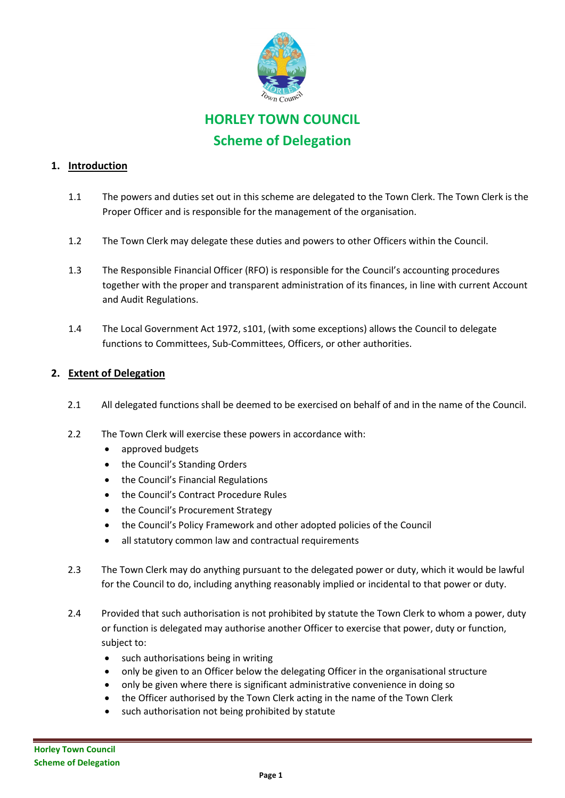

# **HORLEY TOWN COUNCIL Scheme of Delegation**

## **1. Introduction**

- 1.1 The powers and duties set out in this scheme are delegated to the Town Clerk. The Town Clerk is the Proper Officer and is responsible for the management of the organisation.
- 1.2 The Town Clerk may delegate these duties and powers to other Officers within the Council.
- 1.3 The Responsible Financial Officer (RFO) is responsible for the Council's accounting procedures together with the proper and transparent administration of its finances, in line with current Account and Audit Regulations.
- 1.4 The Local Government Act 1972, s101, (with some exceptions) allows the Council to delegate functions to Committees, Sub-Committees, Officers, or other authorities.

## **2. Extent of Delegation**

- 2.1 All delegated functions shall be deemed to be exercised on behalf of and in the name of the Council.
- 2.2 The Town Clerk will exercise these powers in accordance with:
	- approved budgets
	- the Council's Standing Orders
	- the Council's Financial Regulations
	- the Council's Contract Procedure Rules
	- the Council's Procurement Strategy
	- the Council's Policy Framework and other adopted policies of the Council
	- all statutory common law and contractual requirements
- 2.3 The Town Clerk may do anything pursuant to the delegated power or duty, which it would be lawful for the Council to do, including anything reasonably implied or incidental to that power or duty.
- 2.4 Provided that such authorisation is not prohibited by statute the Town Clerk to whom a power, duty or function is delegated may authorise another Officer to exercise that power, duty or function, subject to:
	- such authorisations being in writing
	- only be given to an Officer below the delegating Officer in the organisational structure
	- only be given where there is significant administrative convenience in doing so
	- the Officer authorised by the Town Clerk acting in the name of the Town Clerk
	- such authorisation not being prohibited by statute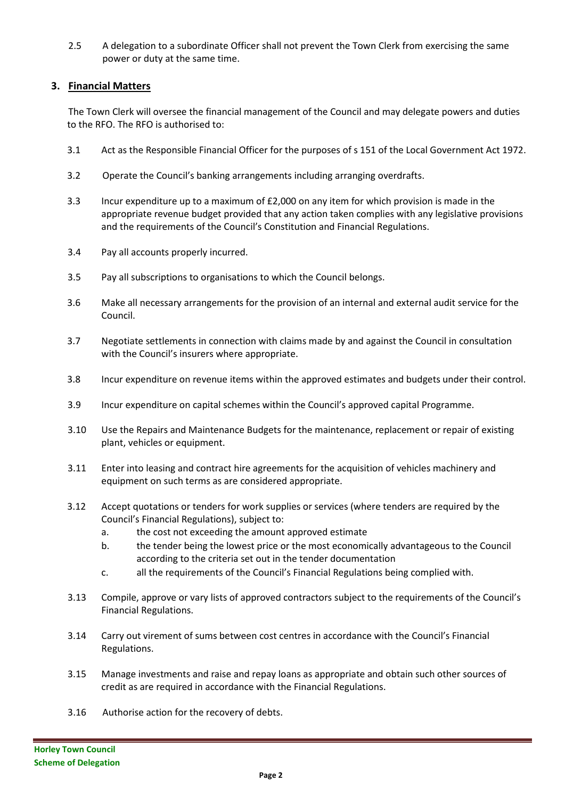2.5 A delegation to a subordinate Officer shall not prevent the Town Clerk from exercising the same power or duty at the same time.

#### **3. Financial Matters**

The Town Clerk will oversee the financial management of the Council and may delegate powers and duties to the RFO. The RFO is authorised to:

- 3.1 Act as the Responsible Financial Officer for the purposes of s 151 of the Local Government Act 1972.
- 3.2 Operate the Council's banking arrangements including arranging overdrafts.
- 3.3 Incur expenditure up to a maximum of £2,000 on any item for which provision is made in the appropriate revenue budget provided that any action taken complies with any legislative provisions and the requirements of the Council's Constitution and Financial Regulations.
- 3.4 Pay all accounts properly incurred.
- 3.5 Pay all subscriptions to organisations to which the Council belongs.
- 3.6 Make all necessary arrangements for the provision of an internal and external audit service for the Council.
- 3.7 Negotiate settlements in connection with claims made by and against the Council in consultation with the Council's insurers where appropriate.
- 3.8 Incur expenditure on revenue items within the approved estimates and budgets under their control.
- 3.9 Incur expenditure on capital schemes within the Council's approved capital Programme.
- 3.10 Use the Repairs and Maintenance Budgets for the maintenance, replacement or repair of existing plant, vehicles or equipment.
- 3.11 Enter into leasing and contract hire agreements for the acquisition of vehicles machinery and equipment on such terms as are considered appropriate.
- 3.12 Accept quotations or tenders for work supplies or services (where tenders are required by the Council's Financial Regulations), subject to:
	- a. the cost not exceeding the amount approved estimate
	- b. the tender being the lowest price or the most economically advantageous to the Council according to the criteria set out in the tender documentation
	- c. all the requirements of the Council's Financial Regulations being complied with.
- 3.13 Compile, approve or vary lists of approved contractors subject to the requirements of the Council's Financial Regulations.
- 3.14 Carry out virement of sums between cost centres in accordance with the Council's Financial Regulations.
- 3.15 Manage investments and raise and repay loans as appropriate and obtain such other sources of credit as are required in accordance with the Financial Regulations.
- 3.16 Authorise action for the recovery of debts.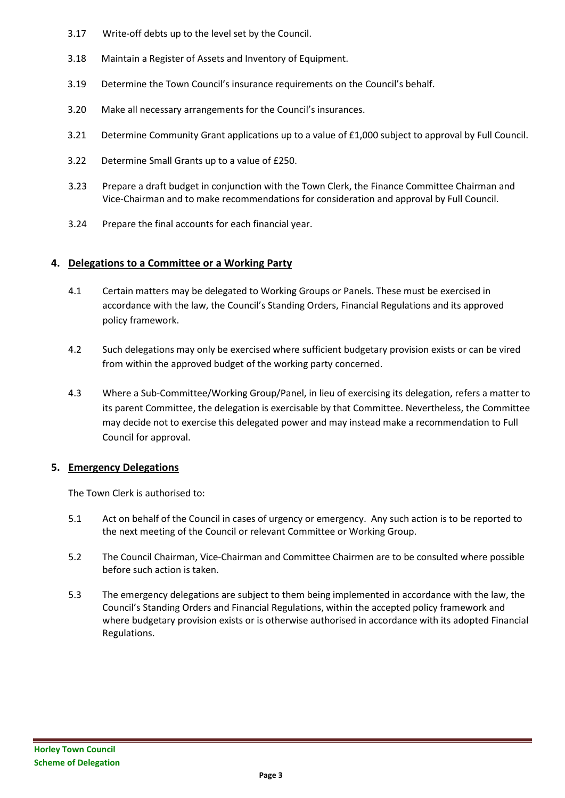- 3.17 Write-off debts up to the level set by the Council.
- 3.18 Maintain a Register of Assets and Inventory of Equipment.
- 3.19 Determine the Town Council's insurance requirements on the Council's behalf.
- 3.20 Make all necessary arrangements for the Council's insurances.
- 3.21 Determine Community Grant applications up to a value of £1,000 subject to approval by Full Council.
- 3.22 Determine Small Grants up to a value of £250.
- 3.23 Prepare a draft budget in conjunction with the Town Clerk, the Finance Committee Chairman and Vice-Chairman and to make recommendations for consideration and approval by Full Council.
- 3.24 Prepare the final accounts for each financial year.

## **4. Delegations to a Committee or a Working Party**

- 4.1 Certain matters may be delegated to Working Groups or Panels. These must be exercised in accordance with the law, the Council's Standing Orders, Financial Regulations and its approved policy framework.
- 4.2 Such delegations may only be exercised where sufficient budgetary provision exists or can be vired from within the approved budget of the working party concerned.
- 4.3 Where a Sub-Committee/Working Group/Panel, in lieu of exercising its delegation, refers a matter to its parent Committee, the delegation is exercisable by that Committee. Nevertheless, the Committee may decide not to exercise this delegated power and may instead make a recommendation to Full Council for approval.

#### **5. Emergency Delegations**

The Town Clerk is authorised to:

- 5.1 Act on behalf of the Council in cases of urgency or emergency. Any such action is to be reported to the next meeting of the Council or relevant Committee or Working Group.
- 5.2 The Council Chairman, Vice-Chairman and Committee Chairmen are to be consulted where possible before such action is taken.
- 5.3 The emergency delegations are subject to them being implemented in accordance with the law, the Council's Standing Orders and Financial Regulations, within the accepted policy framework and where budgetary provision exists or is otherwise authorised in accordance with its adopted Financial Regulations.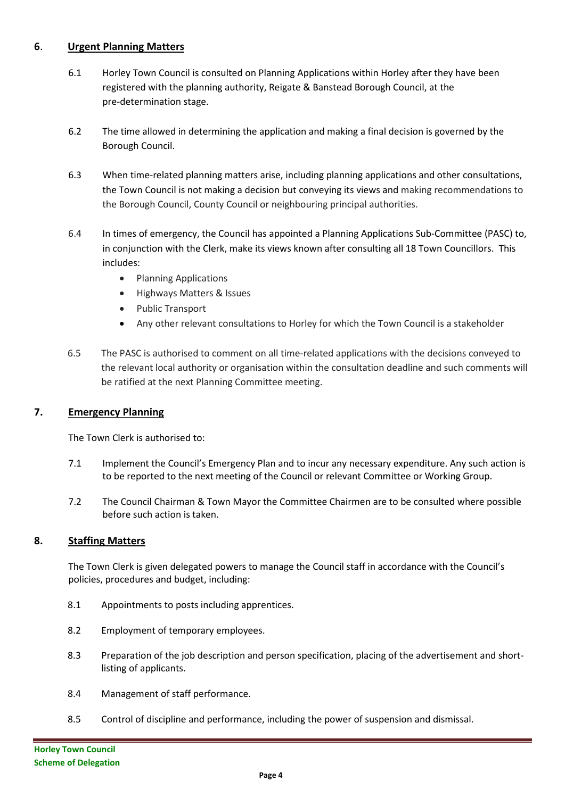## **6**. **Urgent Planning Matters**

- 6.1 Horley Town Council is consulted on Planning Applications within Horley after they have been registered with the planning authority, Reigate & Banstead Borough Council, at the pre-determination stage.
- 6.2 The time allowed in determining the application and making a final decision is governed by the Borough Council.
- 6.3 When time-related planning matters arise, including planning applications and other consultations, the Town Council is not making a decision but conveying its views and making recommendations to the Borough Council, County Council or neighbouring principal authorities.
- 6.4 In times of emergency, the Council has appointed a Planning Applications Sub-Committee (PASC) to, in conjunction with the Clerk, make its views known after consulting all 18 Town Councillors. This includes:
	- Planning Applications
	- Highways Matters & Issues
	- Public Transport
	- Any other relevant consultations to Horley for which the Town Council is a stakeholder
- 6.5 The PASC is authorised to comment on all time-related applications with the decisions conveyed to the relevant local authority or organisation within the consultation deadline and such comments will be ratified at the next Planning Committee meeting.

#### **7. Emergency Planning**

The Town Clerk is authorised to:

- 7.1 Implement the Council's Emergency Plan and to incur any necessary expenditure. Any such action is to be reported to the next meeting of the Council or relevant Committee or Working Group.
- 7.2 The Council Chairman & Town Mayor the Committee Chairmen are to be consulted where possible before such action is taken.

#### **8. Staffing Matters**

The Town Clerk is given delegated powers to manage the Council staff in accordance with the Council's policies, procedures and budget, including:

- 8.1 Appointments to posts including apprentices.
- 8.2 Employment of temporary employees.
- 8.3 Preparation of the job description and person specification, placing of the advertisement and shortlisting of applicants.
- 8.4 Management of staff performance.
- 8.5 Control of discipline and performance, including the power of suspension and dismissal.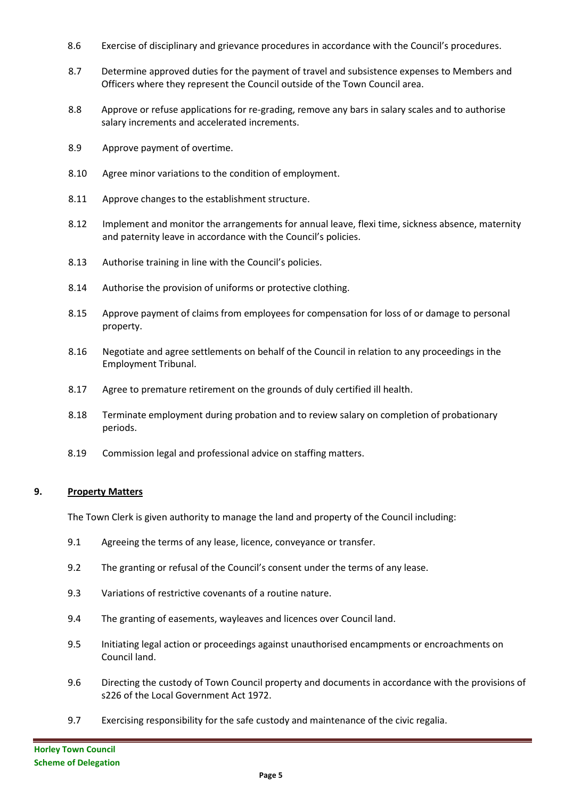- 8.6 Exercise of disciplinary and grievance procedures in accordance with the Council's procedures.
- 8.7 Determine approved duties for the payment of travel and subsistence expenses to Members and Officers where they represent the Council outside of the Town Council area.
- 8.8 Approve or refuse applications for re-grading, remove any bars in salary scales and to authorise salary increments and accelerated increments.
- 8.9 Approve payment of overtime.
- 8.10 Agree minor variations to the condition of employment.
- 8.11 Approve changes to the establishment structure.
- 8.12 Implement and monitor the arrangements for annual leave, flexi time, sickness absence, maternity and paternity leave in accordance with the Council's policies.
- 8.13 Authorise training in line with the Council's policies.
- 8.14 Authorise the provision of uniforms or protective clothing.
- 8.15 Approve payment of claims from employees for compensation for loss of or damage to personal property.
- 8.16 Negotiate and agree settlements on behalf of the Council in relation to any proceedings in the Employment Tribunal.
- 8.17 Agree to premature retirement on the grounds of duly certified ill health.
- 8.18 Terminate employment during probation and to review salary on completion of probationary periods.
- 8.19 Commission legal and professional advice on staffing matters.

#### **9. Property Matters**

The Town Clerk is given authority to manage the land and property of the Council including:

- 9.1 Agreeing the terms of any lease, licence, conveyance or transfer.
- 9.2 The granting or refusal of the Council's consent under the terms of any lease.
- 9.3 Variations of restrictive covenants of a routine nature.
- 9.4 The granting of easements, wayleaves and licences over Council land.
- 9.5 Initiating legal action or proceedings against unauthorised encampments or encroachments on Council land.
- 9.6 Directing the custody of Town Council property and documents in accordance with the provisions of s226 of the Local Government Act 1972.
- 9.7 Exercising responsibility for the safe custody and maintenance of the civic regalia.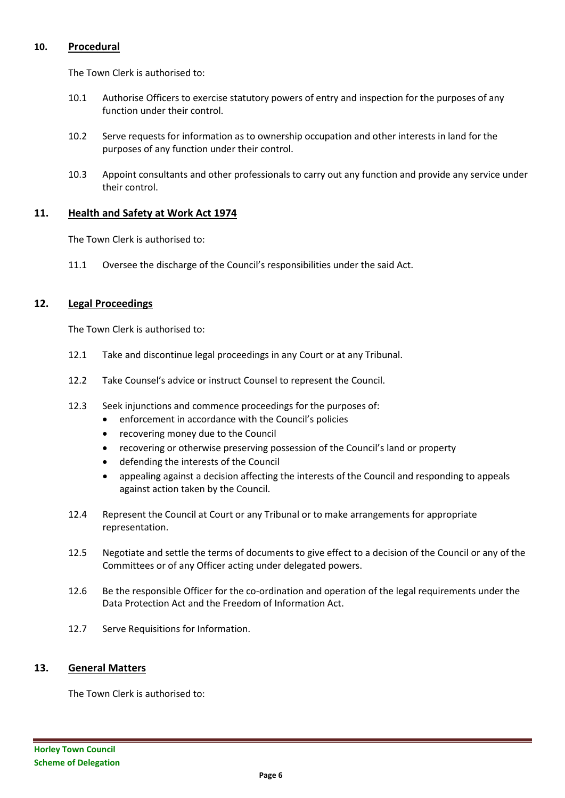#### **10. Procedural**

The Town Clerk is authorised to:

- 10.1 Authorise Officers to exercise statutory powers of entry and inspection for the purposes of any function under their control.
- 10.2 Serve requests for information as to ownership occupation and other interests in land for the purposes of any function under their control.
- 10.3 Appoint consultants and other professionals to carry out any function and provide any service under their control.

#### **11. Health and Safety at Work Act 1974**

The Town Clerk is authorised to:

11.1 Oversee the discharge of the Council's responsibilities under the said Act.

#### **12. Legal Proceedings**

The Town Clerk is authorised to:

- 12.1 Take and discontinue legal proceedings in any Court or at any Tribunal.
- 12.2 Take Counsel's advice or instruct Counsel to represent the Council.
- 12.3 Seek injunctions and commence proceedings for the purposes of:
	- enforcement in accordance with the Council's policies
	- recovering money due to the Council
	- recovering or otherwise preserving possession of the Council's land or property
	- defending the interests of the Council
	- appealing against a decision affecting the interests of the Council and responding to appeals against action taken by the Council.
- 12.4 Represent the Council at Court or any Tribunal or to make arrangements for appropriate representation.
- 12.5 Negotiate and settle the terms of documents to give effect to a decision of the Council or any of the Committees or of any Officer acting under delegated powers.
- 12.6 Be the responsible Officer for the co-ordination and operation of the legal requirements under the Data Protection Act and the Freedom of Information Act.
- 12.7 Serve Requisitions for Information.

#### **13. General Matters**

The Town Clerk is authorised to: